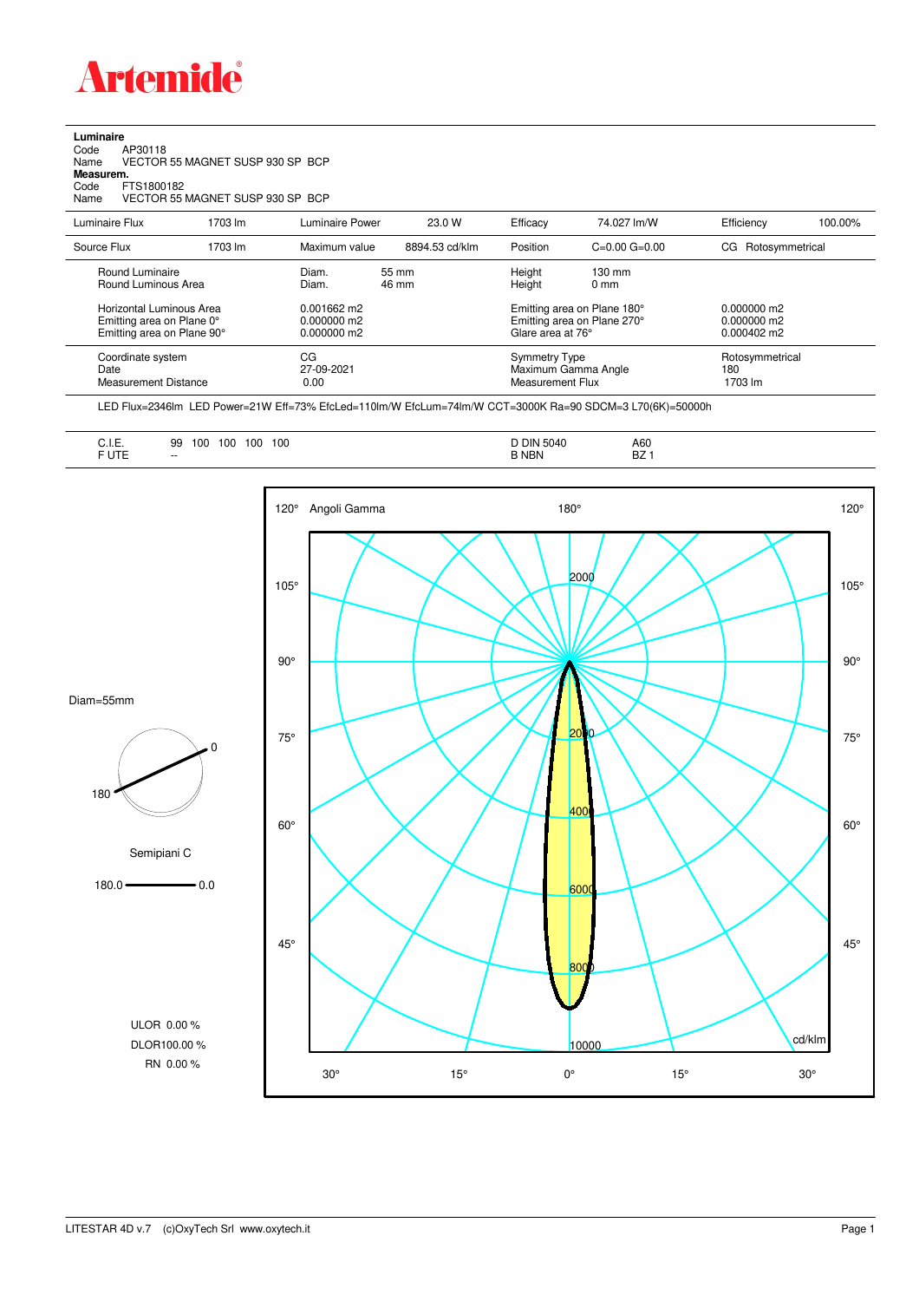

**Luminaire**<br>Code<br>Name Code AP30118 Name VECTOR 55 MAGNET SUSP 930 SP BCP **Measurem.** Code FTS1800182 Name VECTOR 55 MAGNET SUSP 930 SP BCP

| Luminaire Flux                                                                                                                | 1703 lm | Luminaire Power                                                   | 23.0 W         | Efficacy                              | 74.027 lm/W                                                                                      | Efficiency                                             | 100.00%                           |  |
|-------------------------------------------------------------------------------------------------------------------------------|---------|-------------------------------------------------------------------|----------------|---------------------------------------|--------------------------------------------------------------------------------------------------|--------------------------------------------------------|-----------------------------------|--|
| Source Flux                                                                                                                   | 1703 lm | Maximum value                                                     | 8894.53 cd/klm | Position                              | $C=0.00$ $G=0.00$                                                                                | Rotosymmetrical<br>CG.                                 |                                   |  |
| Round Luminaire<br>Round Luminous Area<br>Horizontal Luminous Area<br>Emitting area on Plane 0°<br>Emitting area on Plane 90° |         | Diam.<br>Diam.<br>$0.001662$ m2<br>$0.000000$ m2<br>$0.000000$ m2 | 55 mm<br>46 mm | Height<br>Height<br>Glare area at 76° | $130 \text{ mm}$<br>$0 \text{ mm}$<br>Emitting area on Plane 180°<br>Emitting area on Plane 270° | $0.000000$ m2<br>$0.000000$ m2<br>$0.000402 \text{ m}$ |                                   |  |
| Coordinate system<br>Date<br>Measurement Distance                                                                             |         | CG<br>27-09-2021<br>0.00                                          |                |                                       | Symmetry Type<br>Maximum Gamma Angle<br><b>Measurement Flux</b>                                  |                                                        | Rotosymmetrical<br>180<br>1703 lm |  |

LED Flux=2346lm LED Power=21W Eff=73% EfcLed=110lm/W EfcLum=74lm/W CCT=3000K Ra=90 SDCM=3 L70(6K)=50000h